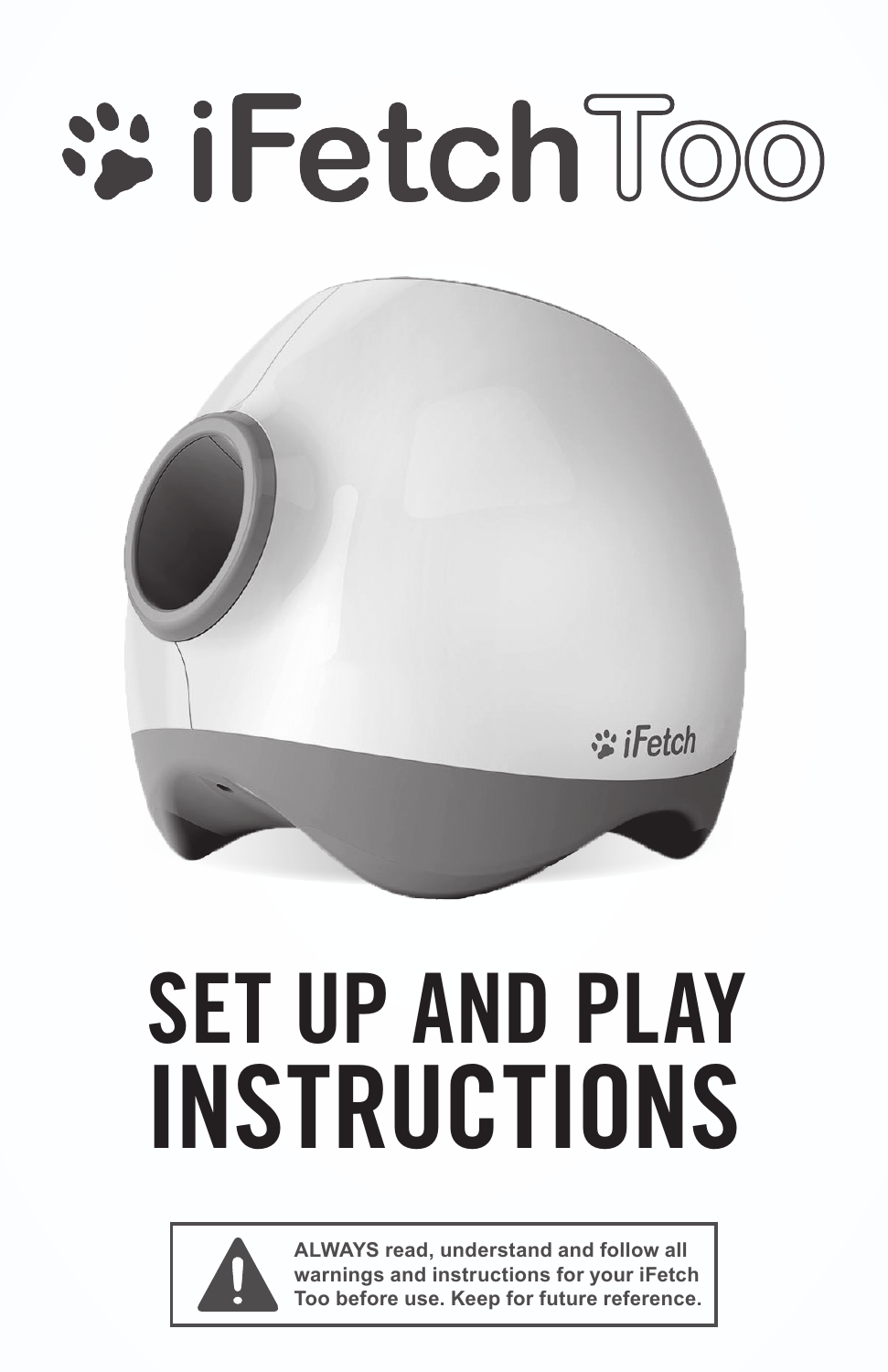# **:: iFetch Too**



## SET UP AND PLAY INSTRUCTIONS



**ALWAYS read, understand and follow all warnings and instructions for your iFetch Too before use. Keep for future reference.**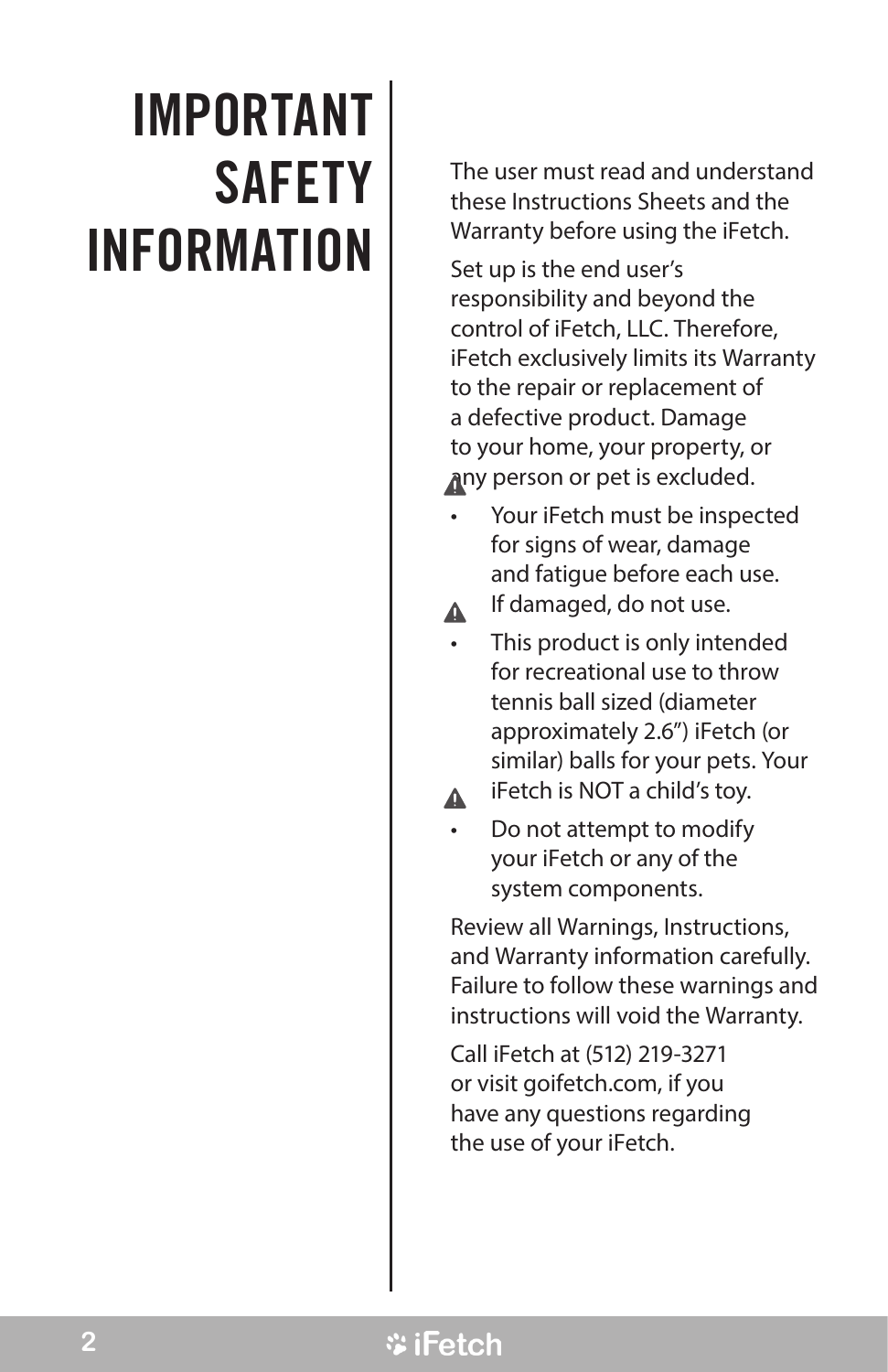### IMPORTANT **SAFETY** INFORMATION

The user must read and understand these Instructions Sheets and the Warranty before using the iFetch.

Set up is the end user's responsibility and beyond the control of iFetch, LLC. Therefore, iFetch exclusively limits its Warranty to the repair or replacement of a defective product. Damage to your home, your property, or any person or pet is excluded.

- Your iFetch must be inspected for signs of wear, damage and fatigue before each use.
- If damaged, do not use. Δ.
- This product is only intended for recreational use to throw tennis ball sized (diameter approximately 2.6") iFetch (or similar) balls for your pets. Your
- iFetch is NOT a child's toy.  $\blacktriangle$
- Do not attempt to modify your iFetch or any of the system components.

Review all Warnings, Instructions, and Warranty information carefully. Failure to follow these warnings and instructions will void the Warranty.

Call iFetch at (512) 219-3271 or visit goifetch.com, if you have any questions regarding the use of your iFetch.

#### *V* iFetch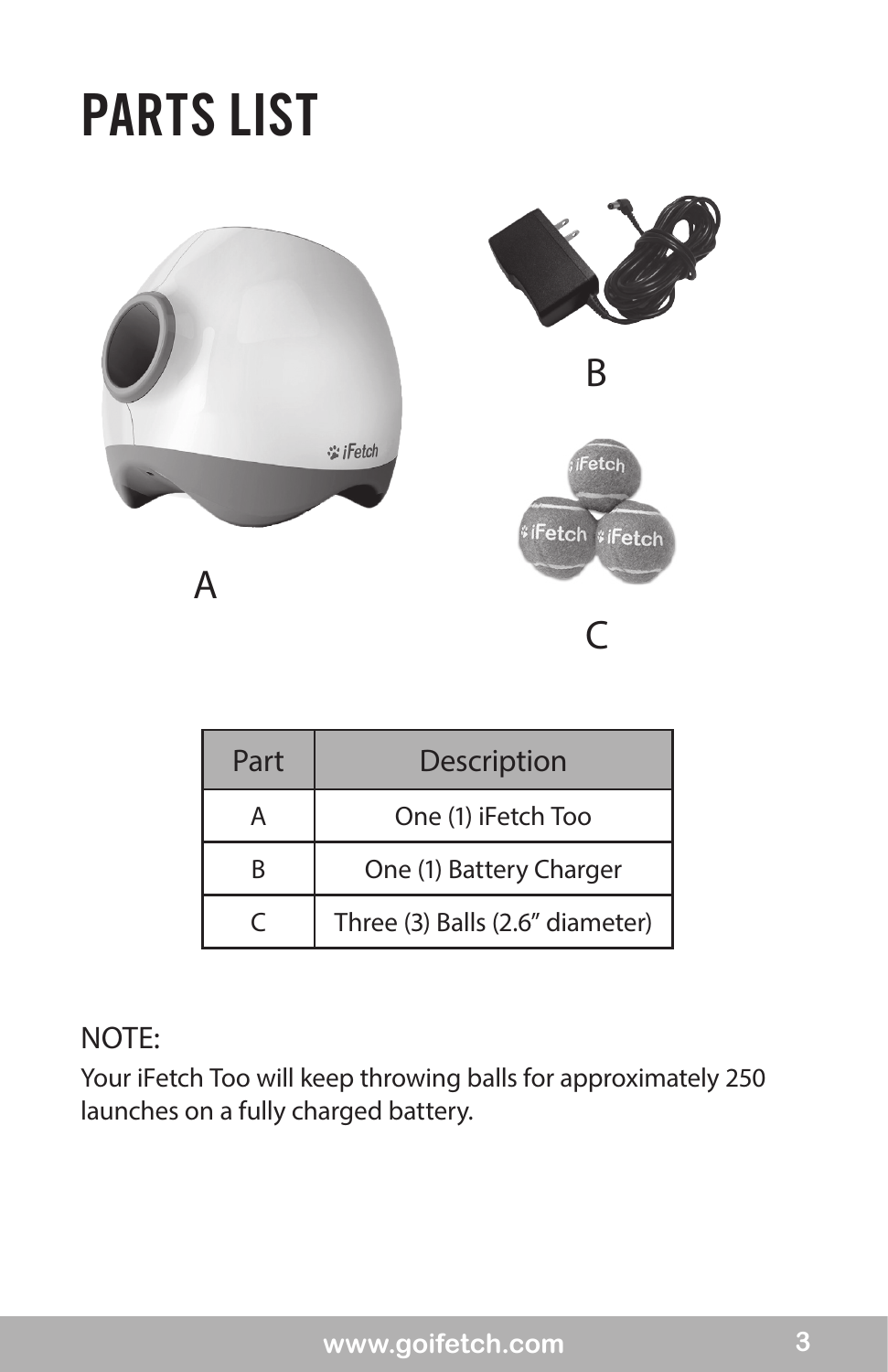### PARTS LIST



| Part | <b>Description</b>              |
|------|---------------------------------|
|      | One (1) iFetch Too              |
| R    | One (1) Battery Charger         |
|      | Three (3) Balls (2.6" diameter) |

#### NOTE:

Your iFetch Too will keep throwing balls for approximately 250 launches on a fully charged battery.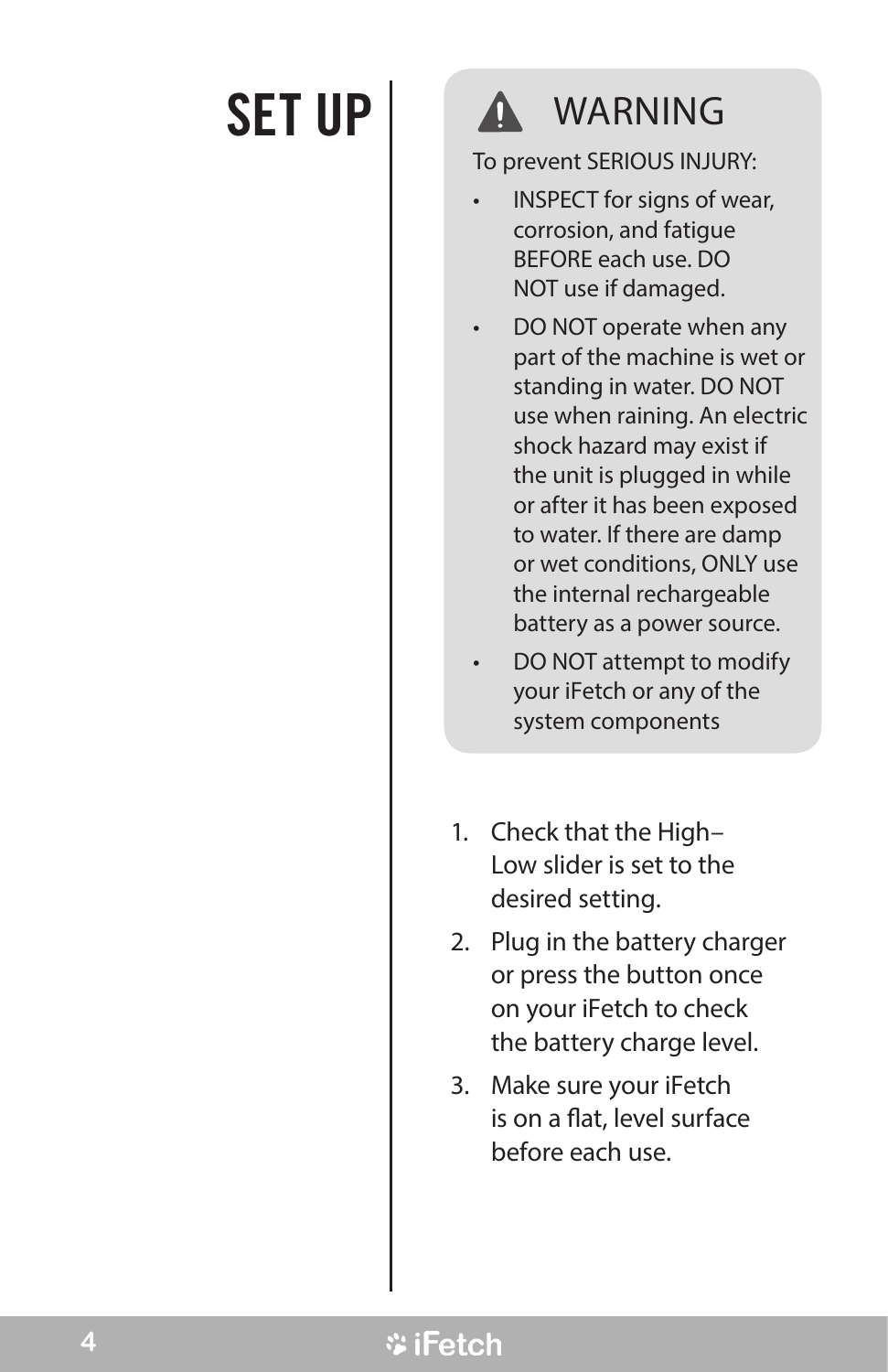#### SET UP | A WARNING

To prevent SERIOUS INJURY:

- INSPECT for signs of wear, corrosion, and fatigue BEFORE each use. DO NOT use if damaged.
- DO NOT operate when any part of the machine is wet or standing in water. DO NOT use when raining. An electric shock hazard may exist if the unit is plugged in while or after it has been exposed to water. If there are damp or wet conditions, ONLY use the internal rechargeable battery as a power source.
- DO NOT attempt to modify your iFetch or any of the system components
- 1. Check that the High– Low slider is set to the desired setting.
- 2. Plug in the battery charger or press the button once on your iFetch to check the battery charge level.
- 3. Make sure your iFetch is on a flat, level surface before each use.

#### **ViFetch**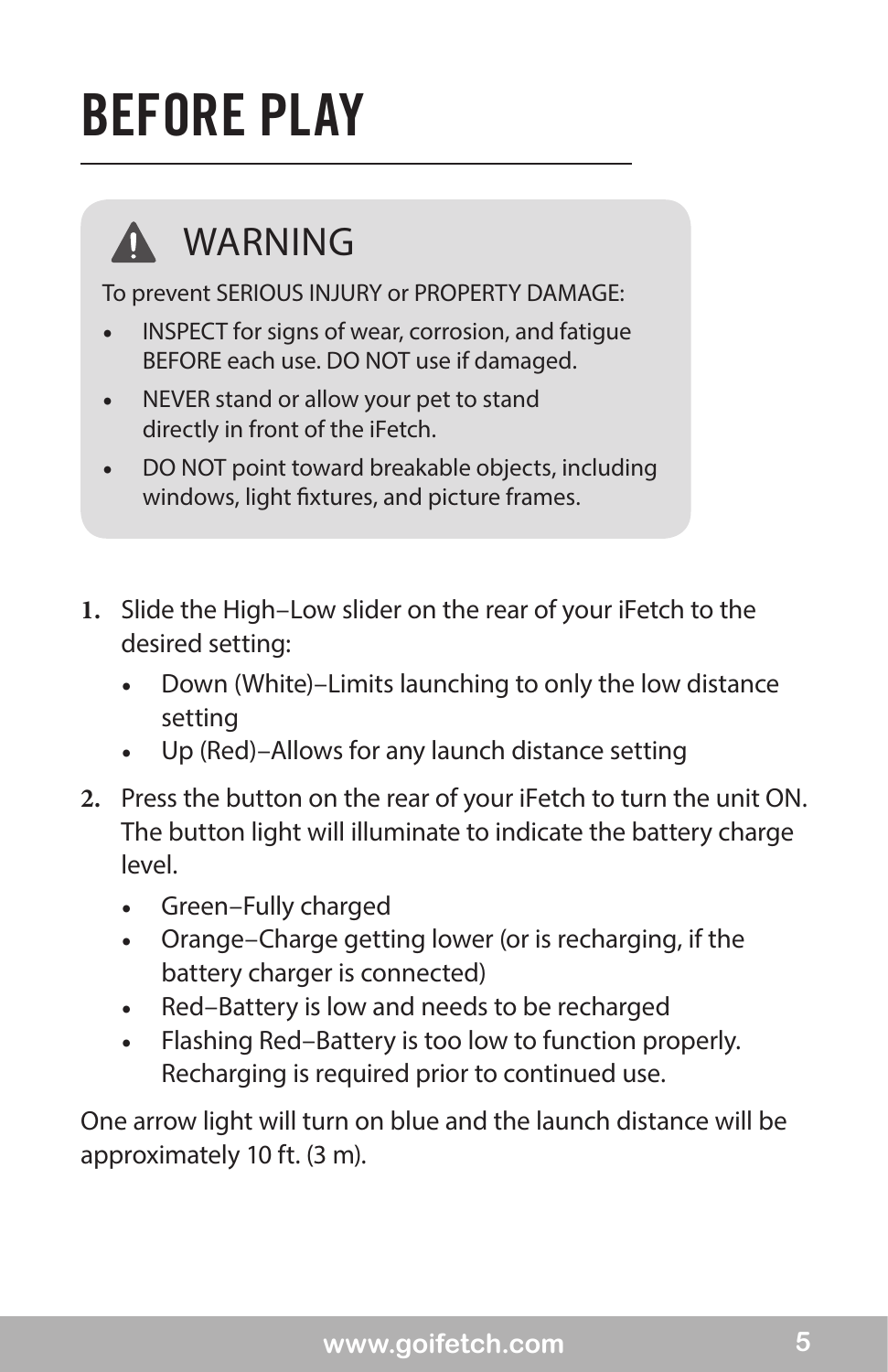### BEFORE PLAY



#### WARNING

To prevent SERIOUS INJURY or PROPERTY DAMAGE:

- INSPECT for signs of wear, corrosion, and fatigue BEFORE each use. DO NOT use if damaged.
- NEVER stand or allow your pet to stand directly in front of the iFetch.
- • DO NOT point toward breakable objects, including windows, light fixtures, and picture frames.
- **1.** Slide the High–Low slider on the rear of your iFetch to the desired setting:
	- Down (White)–Limits launching to only the low distance setting
	- Up (Red)–Allows for any launch distance setting
- **2.** Press the button on the rear of your iFetch to turn the unit ON. The button light will illuminate to indicate the battery charge level.
	- *•*  Green–Fully charged
	- *•*  Orange–Charge getting lower (or is recharging, if the battery charger is connected)
	- *•*  Red–Battery is low and needs to be recharged
	- *•*  Flashing Red–Battery is too low to function properly. Recharging is required prior to continued use.

One arrow light will turn on blue and the launch distance will be approximately 10 ft. (3 m).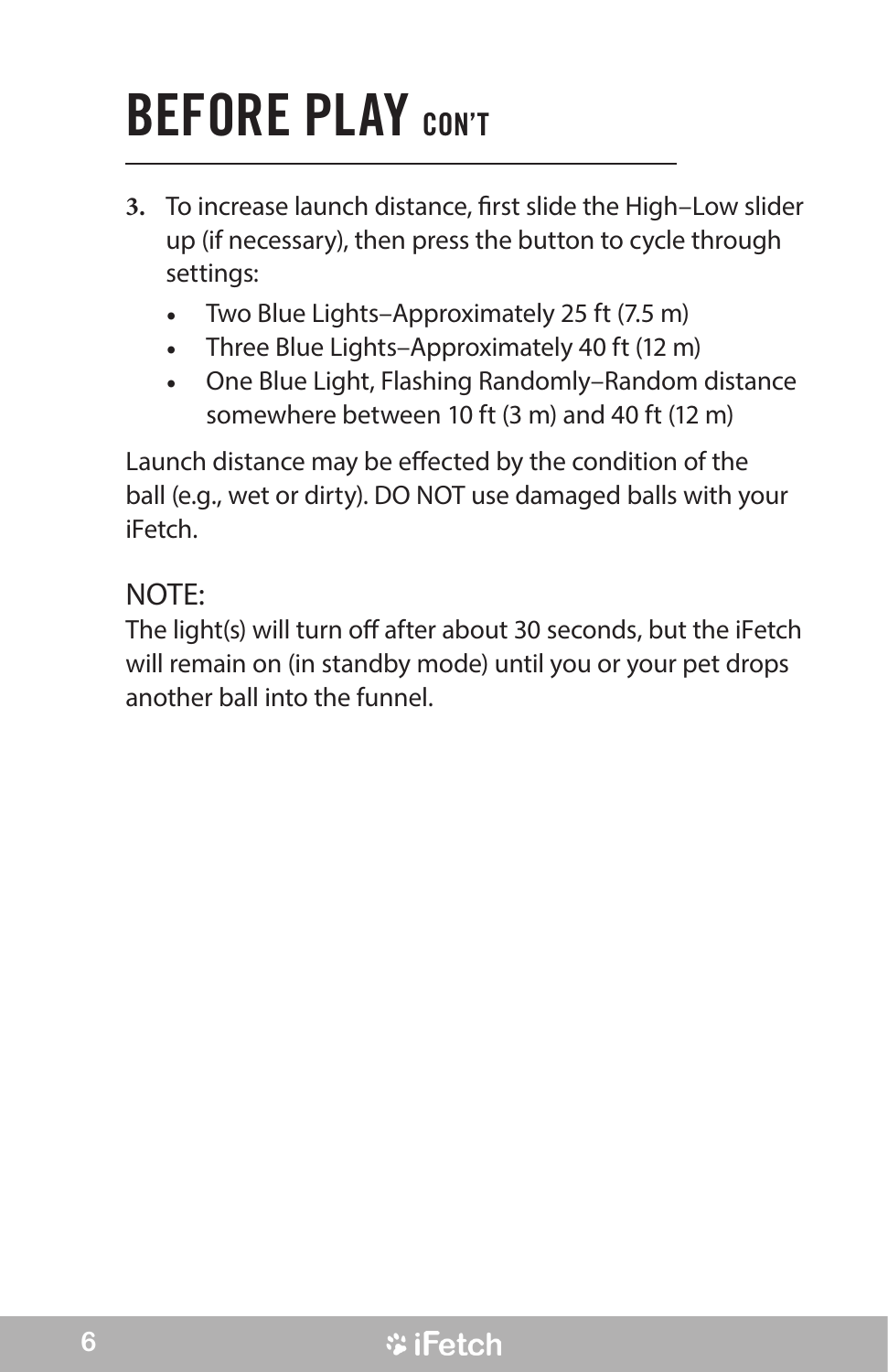### BEFORE PLAY CON'T

- **3.** To increase launch distance, first slide the High–Low slider up (if necessary), then press the button to cycle through settings:
	- Two Blue Lights–Approximately 25 ft (7.5 m)
	- *•*  Three Blue Lights–Approximately 40 ft (12 m)
	- *•*  One Blue Light, Flashing Randomly–Random distance somewhere between 10 ft (3 m) and 40 ft (12 m)

Launch distance may be effected by the condition of the ball (e.g., wet or dirty). DO NOT use damaged balls with your iFetch.

#### NOTE:

The light(s) will turn off after about 30 seconds, but the iFetch will remain on (in standby mode) until you or your pet drops another ball into the funnel.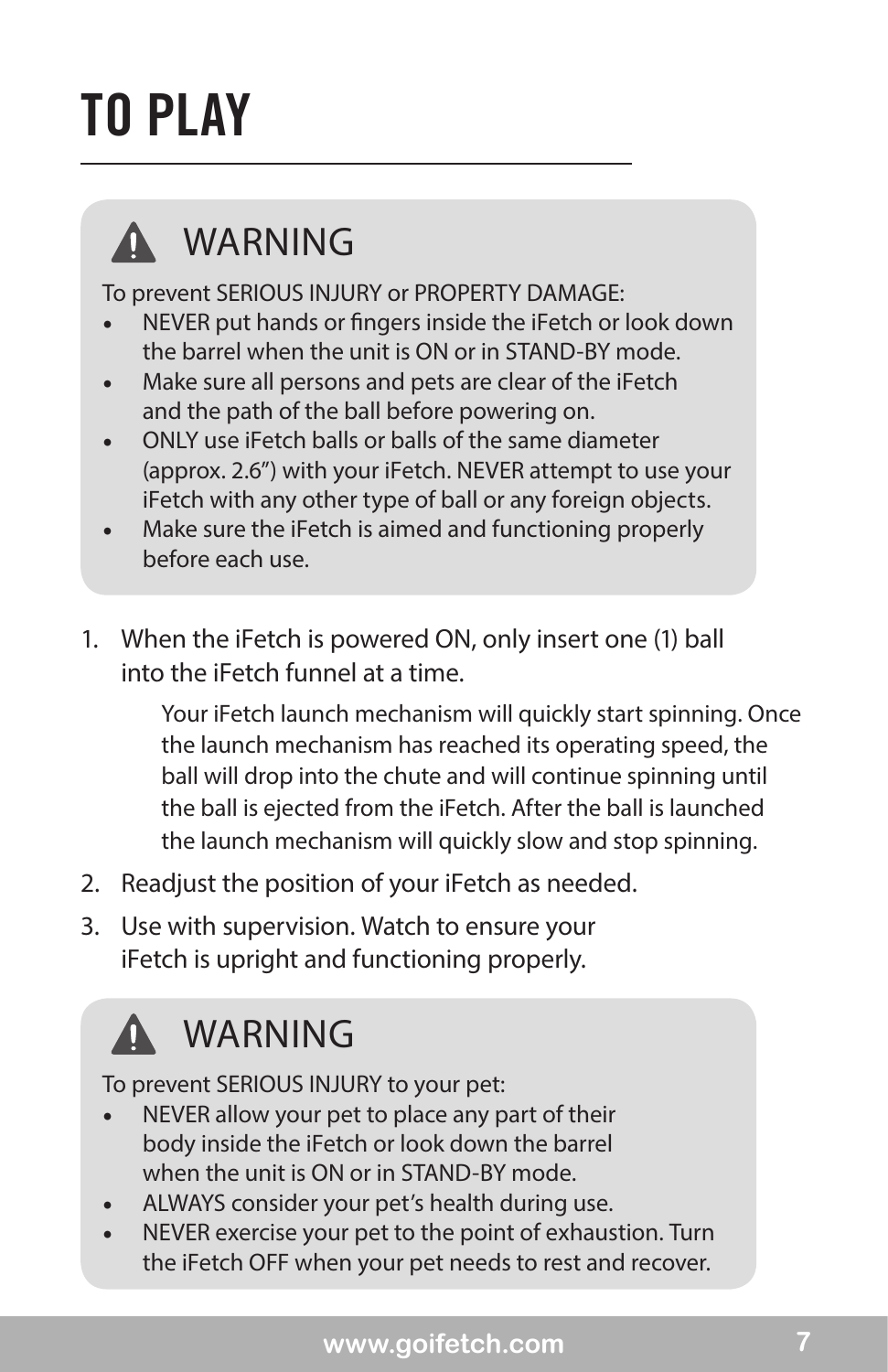### TO PLAY



#### WARNING

To prevent SERIOUS INJURY or PROPERTY DAMAGE:

- NEVER put hands or fingers inside the iFetch or look down the barrel when the unit is ON or in STAND-BY mode.
- Make sure all persons and pets are clear of the iFetch and the path of the ball before powering on.
- ONLY use iFetch balls or balls of the same diameter (approx. 2.6") with your iFetch. NEVER attempt to use your iFetch with any other type of ball or any foreign objects.
- Make sure the iFetch is aimed and functioning properly before each use.
- 1. When the iFetch is powered ON, only insert one (1) ball into the iFetch funnel at a time.

Your iFetch launch mechanism will quickly start spinning. Once the launch mechanism has reached its operating speed, the ball will drop into the chute and will continue spinning until the ball is ejected from the iFetch. After the ball is launched the launch mechanism will quickly slow and stop spinning.

- 2. Readjust the position of your iFetch as needed.
- 3. Use with supervision. Watch to ensure your iFetch is upright and functioning properly.

### **A WARNING**

To prevent SERIOUS INJURY to your pet:

- NEVER allow your pet to place any part of their body inside the iFetch or look down the barrel when the unit is ON or in STAND-BY mode.
- ALWAYS consider your pet's health during use.
- NEVER exercise your pet to the point of exhaustion. Turn the iFetch OFF when your pet needs to rest and recover.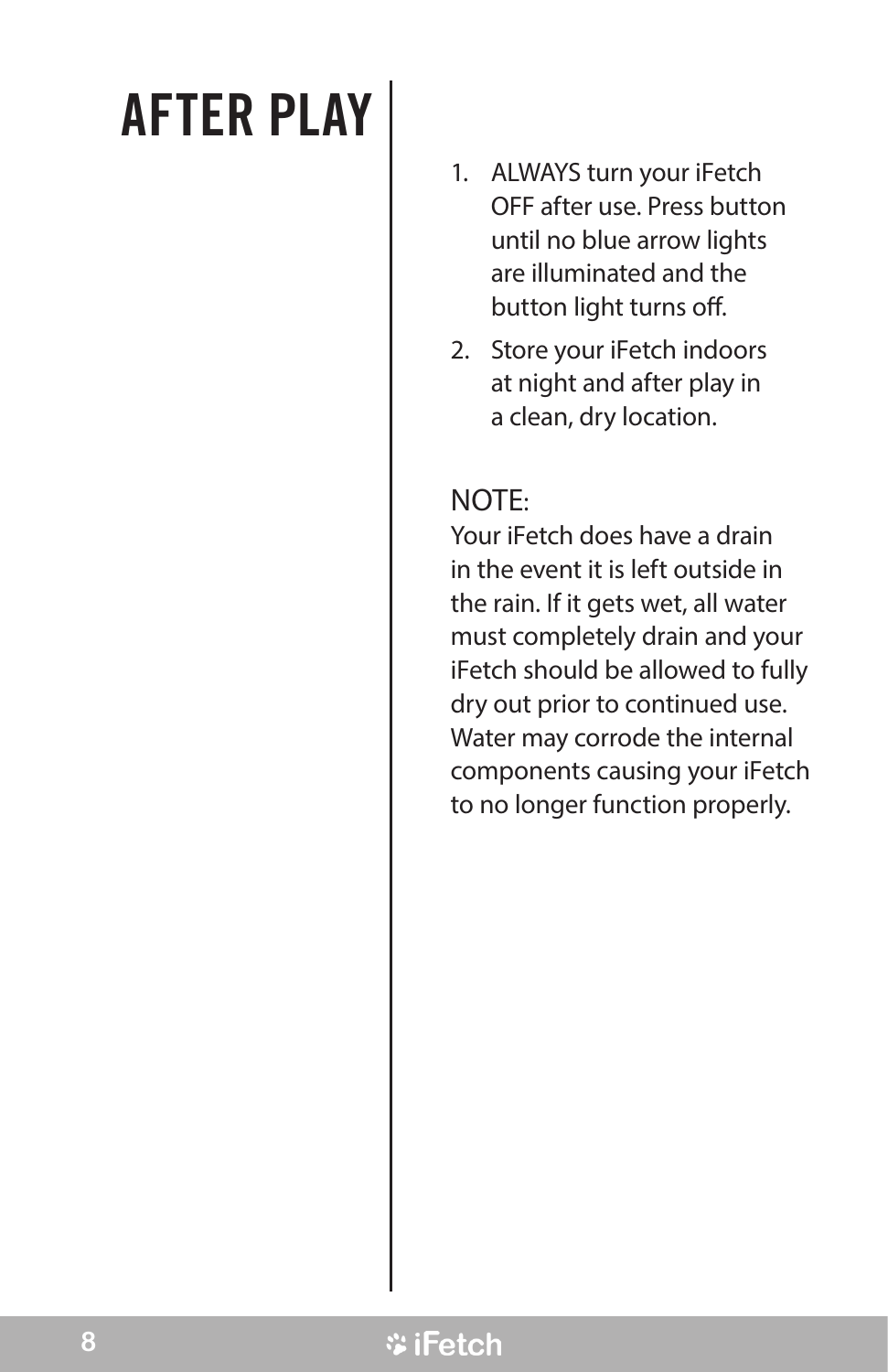### AFTER PLAY

- 1. ALWAYS turn your iFetch OFF after use. Press button until no blue arrow lights are illuminated and the button light turns off.
- 2. Store your iFetch indoors at night and after play in a clean, dry location.

#### NOTE:

Your iFetch does have a drain in the event it is left outside in the rain. If it gets wet, all water must completely drain and your iFetch should be allowed to fully dry out prior to continued use. Water may corrode the internal components causing your iFetch to no longer function properly.

#### **\*iFetch**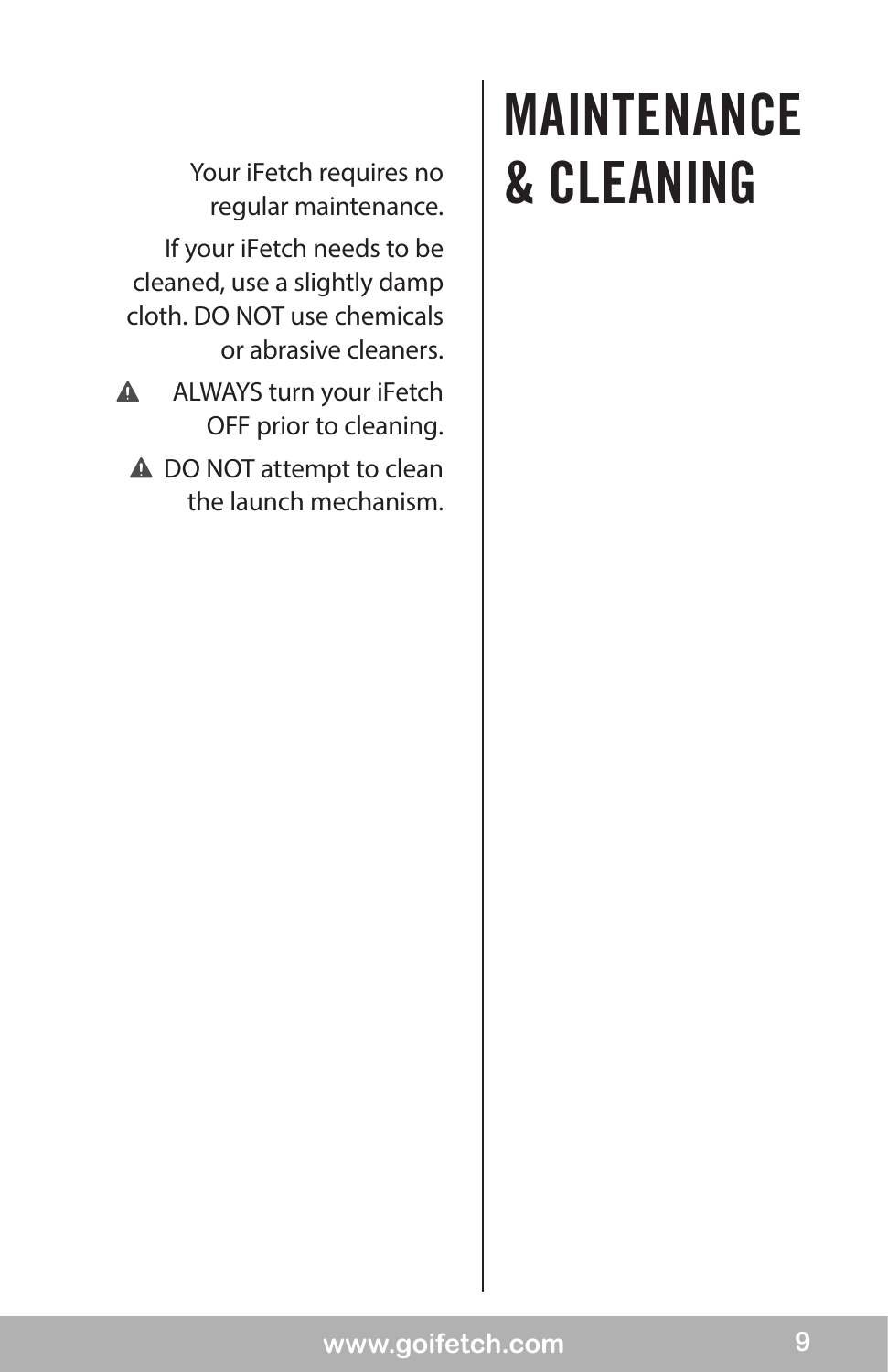regular maintenance. If your iFetch needs to be cleaned, use a slightly damp cloth. DO NOT use chemicals or abrasive cleaners.

- $\blacktriangle$ ALWAYS turn your iFetch OFF prior to cleaning.
	- **A** DO NOT attempt to clean the launch mechanism.

### MAINTENANCE Your iFetch requires no | & CLEANING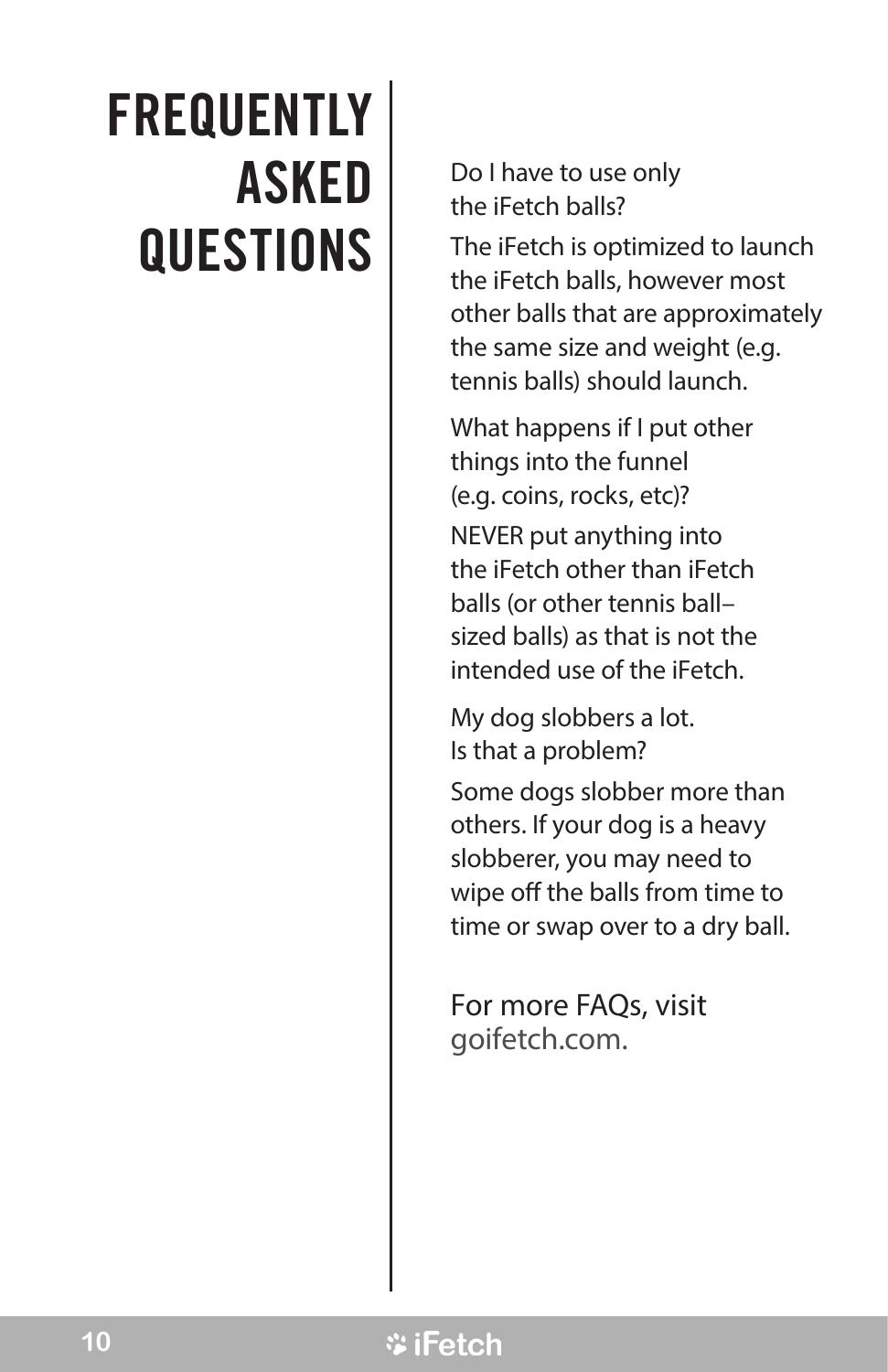### **FREQUENTLY** ASKED **QUESTIONS**

Do I have to use only the iFetch balls?

The iFetch is optimized to launch the iFetch balls, however most other balls that are approximately the same size and weight (e.g. tennis balls) should launch.

What happens if I put other things into the funnel (e.g. coins, rocks, etc)?

NEVER put anything into the iFetch other than iFetch balls (or other tennis ball– sized balls) as that is not the intended use of the iFetch.

My dog slobbers a lot. Is that a problem?

Some dogs slobber more than others. If your dog is a heavy slobberer, you may need to wipe off the balls from time to time or swap over to a dry ball.

For more FAQs, visit goifetch.com.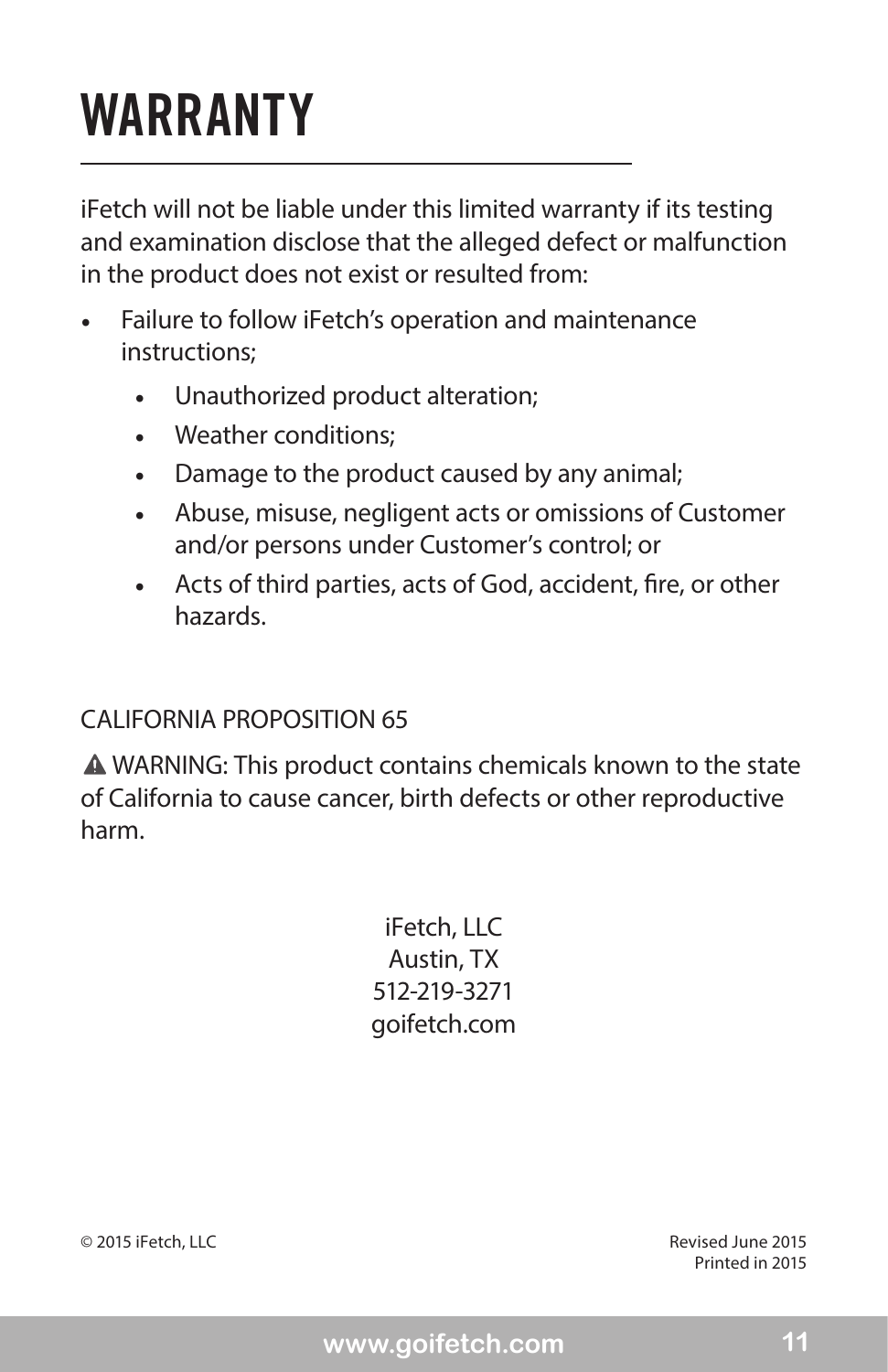### WARRANTY

iFetch will not be liable under this limited warranty if its testing and examination disclose that the alleged defect or malfunction in the product does not exist or resulted from:

- Failure to follow iFetch's operation and maintenance instructions;
	- Unauthorized product alteration;
	- Weather conditions:
	- Damage to the product caused by any animal;
	- • Abuse, misuse, negligent acts or omissions of Customer and/or persons under Customer's control; or
	- • Acts of third parties, acts of God, accident, fire, or other hazards.

#### CALIFORNIA PROPOSITION 65

WARNING: This product contains chemicals known to the state of California to cause cancer, birth defects or other reproductive harm.

> iFetch, LLC Austin, TX 512-219-3271 goifetch.com

© 2015 iFetch, LLC Revised June 2015

Printed in 2015